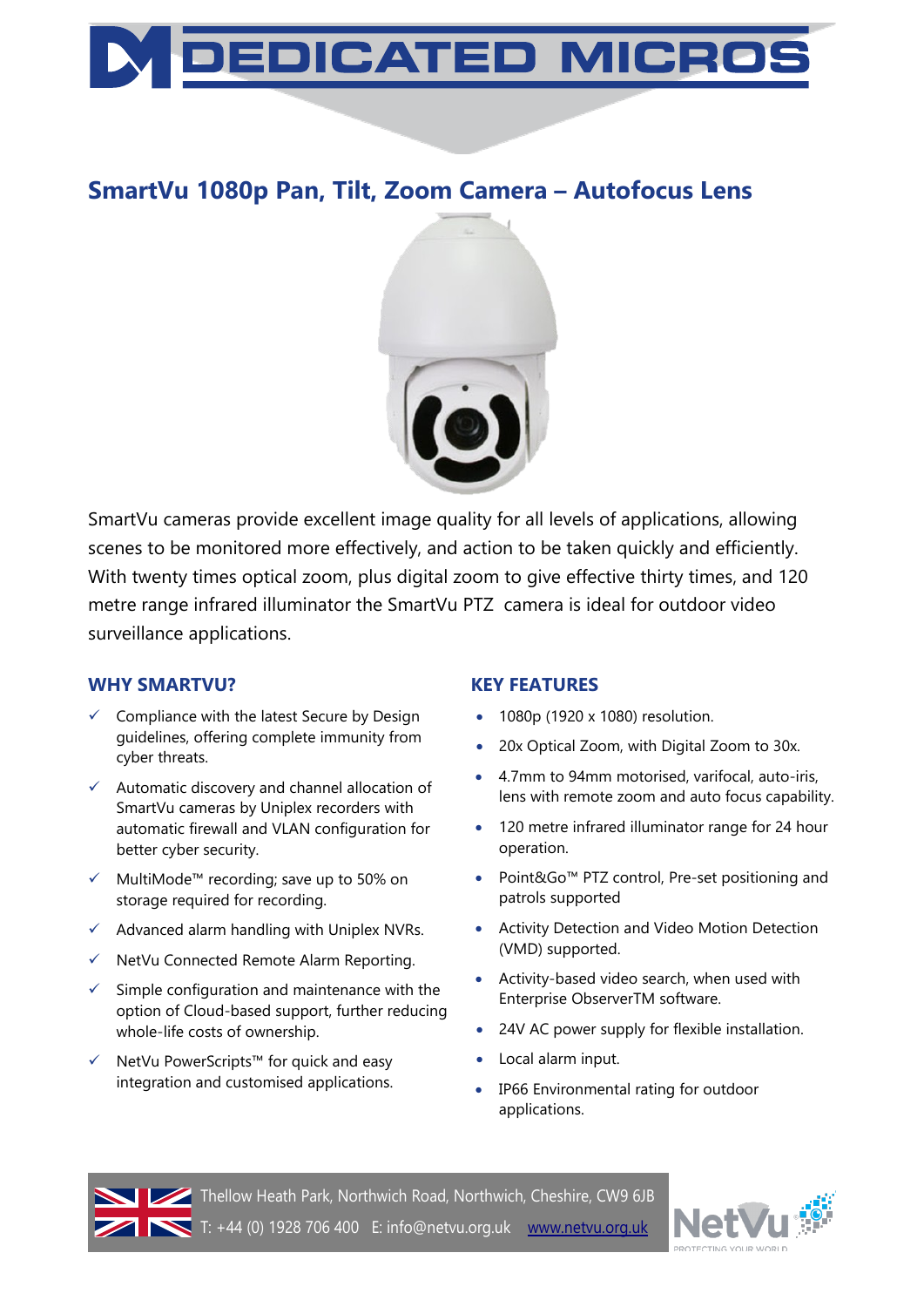

# **SmartVu 1080p Pan, Tilt, Zoom Camera – Autofocus Lens**



SmartVu cameras provide excellent image quality for all levels of applications, allowing scenes to be monitored more effectively, and action to be taken quickly and efficiently. With twenty times optical zoom, plus digital zoom to give effective thirty times, and 120 metre range infrared illuminator the SmartVu PTZ camera is ideal for outdoor video surveillance applications.

### **WHY SMARTVU?**

- $\checkmark$  Compliance with the latest Secure by Design guidelines, offering complete immunity from cyber threats.
- $\checkmark$  Automatic discovery and channel allocation of SmartVu cameras by Uniplex recorders with automatic firewall and VLAN configuration for better cyber security.
- MultiMode™ recording; save up to 50% on storage required for recording.
- $\checkmark$  Advanced alarm handling with Uniplex NVRs.
- $\checkmark$  NetVu Connected Remote Alarm Reporting.
- $\checkmark$  Simple configuration and maintenance with the option of Cloud-based support, further reducing whole-life costs of ownership.
- NetVu PowerScripts™ for quick and easy integration and customised applications.

### **KEY FEATURES**

- 1080p (1920 x 1080) resolution.
- 20x Optical Zoom, with Digital Zoom to 30x.
- 4.7mm to 94mm motorised, varifocal, auto-iris, lens with remote zoom and auto focus capability.
- 120 metre infrared illuminator range for 24 hour operation.
- Point&Go™ PTZ control, Pre-set positioning and patrols supported
- Activity Detection and Video Motion Detection (VMD) supported.
- Activity-based video search, when used with Enterprise ObserverTM software.
- 24V AC power supply for flexible installation.
- Local alarm input.
- IP66 Environmental rating for outdoor applications.